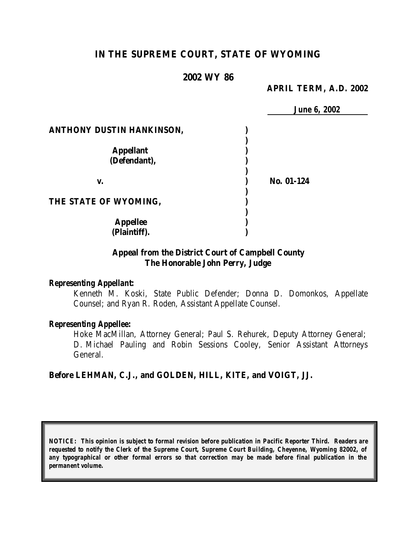# **IN THE SUPREME COURT, STATE OF WYOMING**

## **2002 WY 86**

### **APRIL TERM, A.D. 2002**

|                                  | <b>June 6, 2002</b> |
|----------------------------------|---------------------|
| <b>ANTHONY DUSTIN HANKINSON,</b> |                     |
|                                  |                     |
| <b>Appellant</b>                 |                     |
| (Defendant),                     |                     |
| v.                               | No. 01-124          |
| THE STATE OF WYOMING,            |                     |
| <b>Appellee</b>                  |                     |
| (Plaintiff).                     |                     |

## **Appeal from the District Court of Campbell County The Honorable John Perry, Judge**

### *Representing Appellant:*

Kenneth M. Koski, State Public Defender; Donna D. Domonkos, Appellate Counsel; and Ryan R. Roden, Assistant Appellate Counsel.

### *Representing Appellee:*

Hoke MacMillan, Attorney General; Paul S. Rehurek, Deputy Attorney General; D. Michael Pauling and Robin Sessions Cooley, Senior Assistant Attorneys General.

### **Before LEHMAN, C.J., and GOLDEN, HILL, KITE, and VOIGT, JJ.**

*NOTICE: This opinion is subject to formal revision before publication in Pacific Reporter Third. Readers are requested to notify the Clerk of the Supreme Court, Supreme Court Building, Cheyenne, Wyoming 82002, of any typographical or other formal errors so that correction may be made before final publication in the permanent volume.*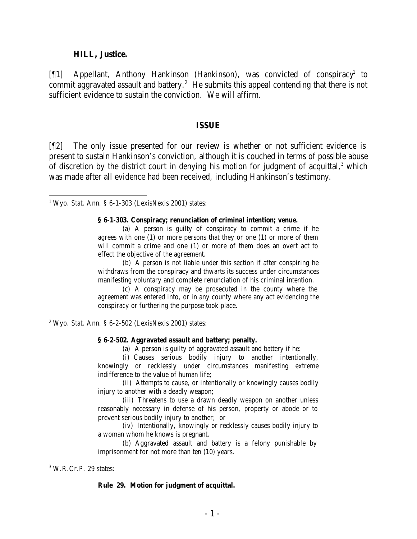#### **HILL, Justice.**

[¶1] Appellant, Anthony Hankinson (Hankinson), was convicted of conspiracy<sup>1</sup> to commit aggravated assault and battery.<sup>2</sup> He submits this appeal contending that there is not sufficient evidence to sustain the conviction. We will affirm.

#### **ISSUE**

[¶2] The only issue presented for our review is whether or not sufficient evidence is present to sustain Hankinson's conviction, although it is couched in terms of possible abuse of discretion by the district court in denying his motion for judgment of acquittal, $3$  which was made after all evidence had been received, including Hankinson's testimony.

 $1$  Wyo. Stat. Ann. § 6-1-303 (LexisNexis 2001) states:

#### **§ 6-1-303. Conspiracy; renunciation of criminal intention; venue.**

(a) A person is guilty of conspiracy to commit a crime if he agrees with one (1) or more persons that they or one (1) or more of them will commit a crime and one (1) or more of them does an overt act to effect the objective of the agreement.

(b) A person is not liable under this section if after conspiring he withdraws from the conspiracy and thwarts its success under circumstances manifesting voluntary and complete renunciation of his criminal intention.

(c) A conspiracy may be prosecuted in the county where the agreement was entered into, or in any county where any act evidencing the conspiracy or furthering the purpose took place.

 $2$  Wyo. Stat. Ann. § 6-2-502 (LexisNexis 2001) states:

#### **§ 6-2-502. Aggravated assault and battery; penalty.**

(a) A person is guilty of aggravated assault and battery if he:

(i) Causes serious bodily injury to another intentionally, knowingly or recklessly under circumstances manifesting extreme indifference to the value of human life;

(ii) Attempts to cause, or intentionally or knowingly causes bodily injury to another with a deadly weapon;

(iii) Threatens to use a drawn deadly weapon on another unless reasonably necessary in defense of his person, property or abode or to prevent serious bodily injury to another; or

(iv) Intentionally, knowingly or recklessly causes bodily injury to a woman whom he knows is pregnant.

(b) Aggravated assault and battery is a felony punishable by imprisonment for not more than ten (10) years.

#### 3 W.R.Cr.P. 29 states:

#### **Rule 29. Motion for judgment of acquittal.**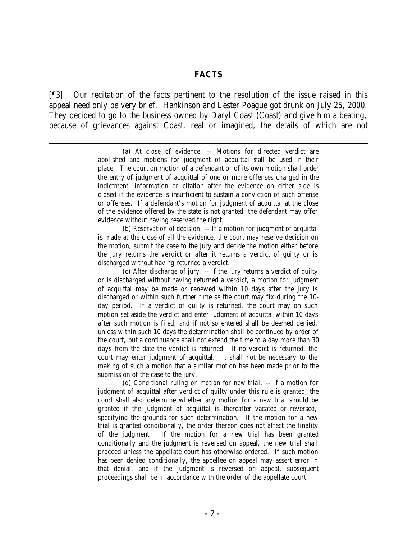### **FACTS**

[¶3] Our recitation of the facts pertinent to the resolution of the issue raised in this appeal need only be very brief. Hankinson and Lester Poague got drunk on July 25, 2000. They decided to go to the business owned by Daryl Coast (Coast) and give him a beating, because of grievances against Coast, real or imagined, the details of which are not

(a) *At close of evidence*. -- Motions for directed verdict are abolished and motions for judgment of acquittal shall be used in their place. The court on motion of a defendant or of its own motion shall order the entry of judgment of acquittal of one or more offenses charged in the indictment, information or citation after the evidence on either side is closed if the evidence is insufficient to sustain a conviction of such offense or offenses. If a defendant's motion for judgment of acquittal at the close of the evidence offered by the state is not granted, the defendant may offer evidence without having reserved the right.

(b) *Reservation of decision*. -- If a motion for judgment of acquittal is made at the close of all the evidence, the court may reserve decision on the motion, submit the case to the jury and decide the motion either before the jury returns the verdict or after it returns a verdict of guilty or is discharged without having returned a verdict.

(c) *After discharge of jury*. -- If the jury returns a verdict of guilty or is discharged without having returned a verdict, a motion for judgment of acquittal may be made or renewed within 10 days after the jury is discharged or within such further time as the court may fix during the 10 day period. If a verdict of guilty is returned, the court may on such motion set aside the verdict and enter judgment of acquittal within 10 days after such motion is filed, and if not so entered shall be deemed denied, unless within such 10 days the determination shall be continued by order of the court, but a continuance shall not extend the time to a day more than 30 days from the date the verdict is returned. If no verdict is returned, the court may enter judgment of acquittal. It shall not be necessary to the making of such a motion that a similar motion has been made prior to the submission of the case to the jury.

(d) *Conditional ruling on motion for new trial*. -- If a motion for judgment of acquittal after verdict of guilty under this rule is granted, the court shall also determine whether any motion for a new trial should be granted if the judgment of acquittal is thereafter vacated or reversed, specifying the grounds for such determination. If the motion for a new trial is granted conditionally, the order thereon does not affect the finality of the judgment. If the motion for a new trial has been granted conditionally and the judgment is reversed on appeal, the new trial shall proceed unless the appellate court has otherwise ordered. If such motion has been denied conditionally, the appellee on appeal may assert error in that denial, and if the judgment is reversed on appeal, subsequent proceedings shall be in accordance with the order of the appellate court.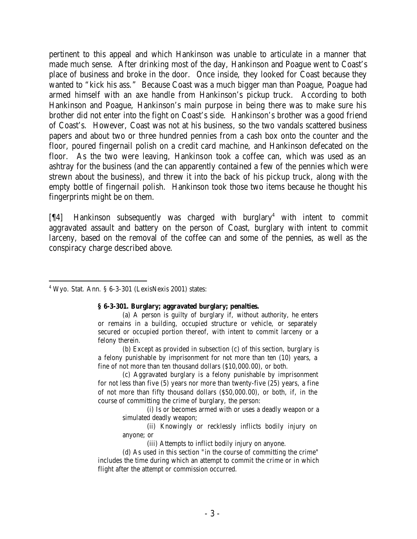pertinent to this appeal and which Hankinson was unable to articulate in a manner that made much sense. After drinking most of the day, Hankinson and Poague went to Coast's place of business and broke in the door. Once inside, they looked for Coast because they wanted to "kick his ass." Because Coast was a much bigger man than Poague, Poague had armed himself with an axe handle from Hankinson's pickup truck. According to both Hankinson and Poague, Hankinson's main purpose in being there was to make sure his brother did not enter into the fight on Coast's side. Hankinson's brother was a good friend of Coast's. However, Coast was not at his business, so the two vandals scattered business papers and about two or three hundred pennies from a cash box onto the counter and the floor, poured fingernail polish on a credit card machine, and Hankinson defecated on the floor. As the two were leaving, Hankinson took a coffee can, which was used as an ashtray for the business (and the can apparently contained a few of the pennies which were strewn about the business), and threw it into the back of his pickup truck, along with the empty bottle of fingernail polish. Hankinson took those two items because he thought his fingerprints might be on them.

[¶4] Hankinson subsequently was charged with burglary<sup>4</sup> with intent to commit aggravated assault and battery on the person of Coast, burglary with intent to commit larceny, based on the removal of the coffee can and some of the pennies, as well as the conspiracy charge described above.

4 Wyo. Stat. Ann. § 6-3-301 (LexisNexis 2001) states:

### **§ 6-3-301. Burglary; aggravated burglary; penalties.**

(a) A person is guilty of burglary if, without authority, he enters or remains in a building, occupied structure or vehicle, or separately secured or occupied portion thereof, with intent to commit larceny or a felony therein.

(b) Except as provided in subsection (c) of this section, burglary is a felony punishable by imprisonment for not more than ten (10) years, a fine of not more than ten thousand dollars (\$10,000.00), or both.

(c) Aggravated burglary is a felony punishable by imprisonment for not less than five (5) years nor more than twenty-five (25) years, a fine of not more than fifty thousand dollars (\$50,000.00), or both, if, in the course of committing the crime of burglary, the person:

(i) Is or becomes armed with or uses a deadly weapon or a simulated deadly weapon;

(ii) Knowingly or recklessly inflicts bodily injury on anyone; or

(iii) Attempts to inflict bodily injury on anyone.

(d) As used in this section "in the course of committing the crime" includes the time during which an attempt to commit the crime or in which flight after the attempt or commission occurred.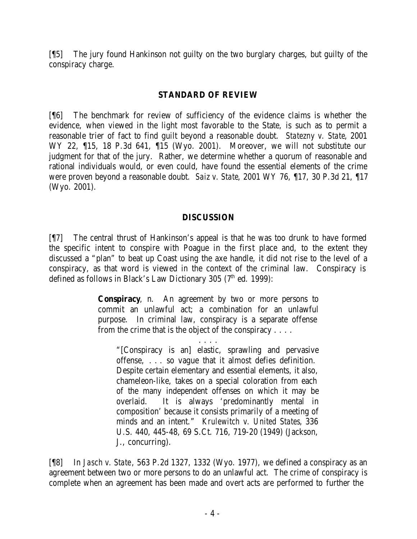[¶5] The jury found Hankinson not guilty on the two burglary charges, but guilty of the conspiracy charge.

## **STANDARD OF REVIEW**

[¶6] The benchmark for review of sufficiency of the evidence claims is whether the evidence, when viewed in the light most favorable to the State, is such as to permit a reasonable trier of fact to find guilt beyond a reasonable doubt. *Statezny v. State*, 2001 WY 22, 15, 18 P.3d 641, 15 (Wyo. 2001). Moreover, we will not substitute our judgment for that of the jury. Rather, we determine whether a quorum of reasonable and rational individuals would, or even could, have found the essential elements of the crime were proven beyond a reasonable doubt. *Saiz v. State*, 2001 WY 76, ¶17, 30 P.3d 21, ¶17 (Wyo. 2001).

## **DISCUSSION**

[¶7] The central thrust of Hankinson's appeal is that he was too drunk to have formed the specific intent to conspire with Poague in the first place and, to the extent they discussed a "plan" to beat up Coast using the axe handle, it did not rise to the level of a conspiracy, as that word is viewed in the context of the criminal law. Conspiracy is defined as follows in Black's Law Dictionary 305 (7<sup>th</sup> ed. 1999):

> **Conspiracy**, n. An agreement by two or more persons to commit an unlawful act; a combination for an unlawful purpose. In criminal law, conspiracy is a separate offense from the crime that is the object of the conspiracy . . . .

. . . . "[Conspiracy is an] elastic, sprawling and pervasive offense, . . . so vague that it almost defies definition. Despite certain elementary and essential elements, it also, chameleon-like, takes on a special coloration from each of the many independent offenses on which it may be overlaid. It is always 'predominantly mental in composition' because it consists primarily of a meeting of minds and an intent." *Krulewitch v. United States*, 336 U.S. 440, 445-48, 69 S.Ct. 716, 719-20 (1949) (Jackson, J., concurring).

[¶8] In *Jasch v. State*, 563 P.2d 1327, 1332 (Wyo. 1977), we defined a conspiracy as an agreement between two or more persons to do an unlawful act. The crime of conspiracy is complete when an agreement has been made and overt acts are performed to further the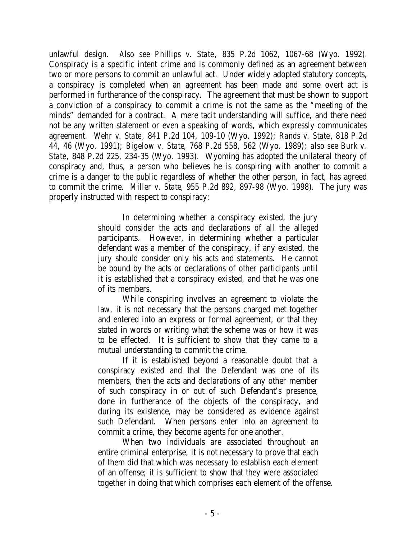unlawful design. *Also see Phillips v. State*, 835 P.2d 1062, 1067-68 (Wyo. 1992). Conspiracy is a specific intent crime and is commonly defined as an agreement between two or more persons to commit an unlawful act. Under widely adopted statutory concepts, a conspiracy is completed when an agreement has been made and some overt act is performed in furtherance of the conspiracy. The agreement that must be shown to support a conviction of a conspiracy to commit a crime is not the same as the "meeting of the minds" demanded for a contract. A mere tacit understanding will suffice, and there need not be any written statement or even a speaking of words, which expressly communicates agreement. *Wehr v. State*, 841 P.2d 104, 109-10 (Wyo. 1992); *Rands v. State*, 818 P.2d 44, 46 (Wyo. 1991); *Bigelow v. State*, 768 P.2d 558, 562 (Wyo. 1989); *also see Burk v. State*, 848 P.2d 225, 234-35 (Wyo. 1993). Wyoming has adopted the unilateral theory of conspiracy and, thus, a person who believes he is conspiring with another to commit a crime is a danger to the public regardless of whether the other person, in fact, has agreed to commit the crime. *Miller v. State*, 955 P.2d 892, 897-98 (Wyo. 1998). The jury was properly instructed with respect to conspiracy:

> In determining whether a conspiracy existed, the jury should consider the acts and declarations of all the alleged participants. However, in determining whether a particular defendant was a member of the conspiracy, if any existed, the jury should consider only his acts and statements. He cannot be bound by the acts or declarations of other participants until it is established that a conspiracy existed, and that he was one of its members.

> While conspiring involves an agreement to violate the law, it is not necessary that the persons charged met together and entered into an express or formal agreement, or that they stated in words or writing what the scheme was or how it was to be effected. It is sufficient to show that they came to a mutual understanding to commit the crime.

> If it is established beyond a reasonable doubt that a conspiracy existed and that the Defendant was one of its members, then the acts and declarations of any other member of such conspiracy in or out of such Defendant's presence, done in furtherance of the objects of the conspiracy, and during its existence, may be considered as evidence against such Defendant. When persons enter into an agreement to commit a crime, they become agents for one another.

When two individuals are associated throughout an entire criminal enterprise, it is not necessary to prove that each of them did that which was necessary to establish each element of an offense; it is sufficient to show that they were associated together in doing that which comprises each element of the offense.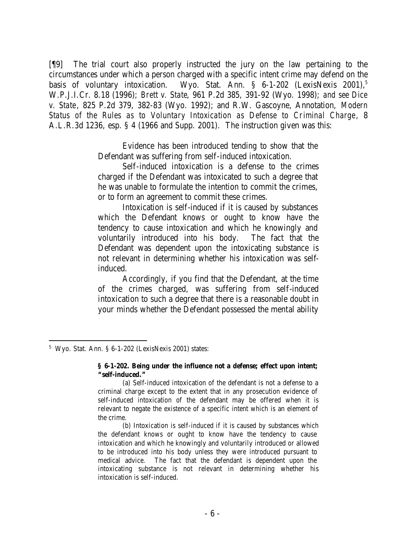[¶9] The trial court also properly instructed the jury on the law pertaining to the circumstances under which a person charged with a specific intent crime may defend on the basis of voluntary intoxication. Wyo. Stat. Ann.  $\S$  6-1-202 (LexisNexis 2001),<sup>5</sup> W.P.J.I.Cr. 8.18 (1996); *Brett v. State*, 961 P.2d 385, 391-92 (Wyo. 1998); *and see Dice v. State*, 825 P.2d 379, 382-83 (Wyo. 1992); and R.W. Gascoyne, Annotation, *Modern Status of the Rules as to Voluntary Intoxication as Defense to Criminal Charge*, 8 A.L.R.3d 1236, esp. § 4 (1966 and Supp. 2001). The instruction given was this:

> Evidence has been introduced tending to show that the Defendant was suffering from self-induced intoxication.

> Self-induced intoxication is a defense to the crimes charged if the Defendant was intoxicated to such a degree that he was unable to formulate the intention to commit the crimes, or to form an agreement to commit these crimes.

> Intoxication is self-induced if it is caused by substances which the Defendant knows or ought to know have the tendency to cause intoxication and which he knowingly and voluntarily introduced into his body. The fact that the Defendant was dependent upon the intoxicating substance is not relevant in determining whether his intoxication was selfinduced.

> Accordingly, if you find that the Defendant, at the time of the crimes charged, was suffering from self-induced intoxication to such a degree that there is a reasonable doubt in your minds whether the Defendant possessed the mental ability

<sup>5</sup> Wyo. Stat. Ann. § 6-1-202 (LexisNexis 2001) states:

**<sup>§ 6-1-202.</sup> Being under the influence not a defense; effect upon intent; "self-induced."**

<sup>(</sup>a) Self-induced intoxication of the defendant is not a defense to a criminal charge except to the extent that in any prosecution evidence of self-induced intoxication of the defendant may be offered when it is relevant to negate the existence of a specific intent which is an element of the crime.

<sup>(</sup>b) Intoxication is self-induced if it is caused by substances which the defendant knows or ought to know have the tendency to cause intoxication and which he knowingly and voluntarily introduced or allowed to be introduced into his body unless they were introduced pursuant to medical advice. The fact that the defendant is dependent upon the intoxicating substance is not relevant in determining whether his intoxication is self-induced.